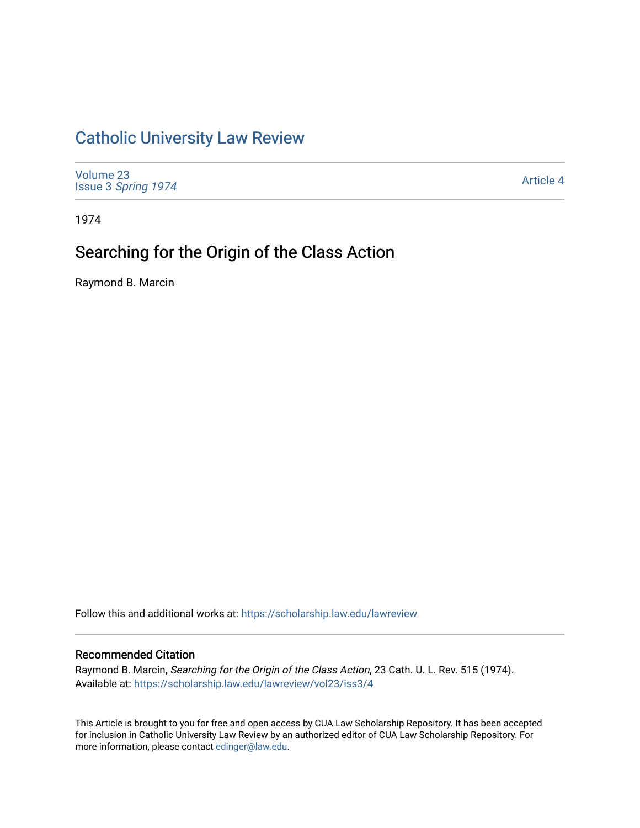# [Catholic University Law Review](https://scholarship.law.edu/lawreview)

[Volume 23](https://scholarship.law.edu/lawreview/vol23) Issue 3 [Spring 1974](https://scholarship.law.edu/lawreview/vol23/iss3) 

[Article 4](https://scholarship.law.edu/lawreview/vol23/iss3/4) 

1974

# Searching for the Origin of the Class Action

Raymond B. Marcin

Follow this and additional works at: [https://scholarship.law.edu/lawreview](https://scholarship.law.edu/lawreview?utm_source=scholarship.law.edu%2Flawreview%2Fvol23%2Fiss3%2F4&utm_medium=PDF&utm_campaign=PDFCoverPages)

## Recommended Citation

Raymond B. Marcin, Searching for the Origin of the Class Action, 23 Cath. U. L. Rev. 515 (1974). Available at: [https://scholarship.law.edu/lawreview/vol23/iss3/4](https://scholarship.law.edu/lawreview/vol23/iss3/4?utm_source=scholarship.law.edu%2Flawreview%2Fvol23%2Fiss3%2F4&utm_medium=PDF&utm_campaign=PDFCoverPages)

This Article is brought to you for free and open access by CUA Law Scholarship Repository. It has been accepted for inclusion in Catholic University Law Review by an authorized editor of CUA Law Scholarship Repository. For more information, please contact [edinger@law.edu.](mailto:edinger@law.edu)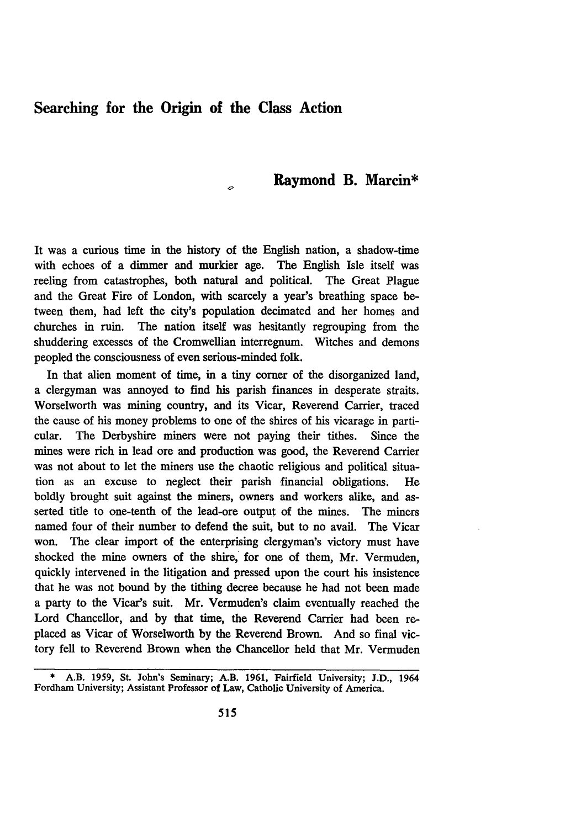# **Searching for the Origin of the Class Action**

# **Raymond B. Marcin\***

It was a curious time in the history of the English nation, a shadow-time with echoes of a dimmer and murkier age. The English Isle itself was reeling from catastrophes, both natural and political. The Great Plague and the Great Fire of London, with scarcely a year's breathing space between them, had left the city's population decimated and her homes and churches in ruin. The nation itself was hesitantly regrouping from the shuddering excesses of the Cromwellian interregnum. Witches and demons peopled the consciousness of even serious-minded folk.

In that alien moment of time, in a tiny corner of the disorganized land, a clergyman was annoyed to find his parish finances in desperate straits. Worselworth was mining country, and its Vicar, Reverend Carrier, traced the cause of his money problems to one of the shires of his vicarage in particular. The Derbyshire miners were not paying their tithes. Since the mines were rich in lead ore and production was good, the Reverend Carrier was not about to let the miners use the chaotic religious and political situation as an excuse to neglect their parish financial obligations. He boldly brought suit against the miners, owners and workers alike, and asserted title to one-tenth of the lead-ore output of the mines. The miners named four of their number to defend the suit, but to no avail. The Vicar won. The clear import of the enterprising clergyman's victory must have shocked the mine owners of the shire, for one of them, Mr. Vermuden, quickly intervened in the litigation and pressed upon the court his insistence that he was not bound by the tithing decree because he had not been made a party to the Vicar's suit. Mr. Vermuden's claim eventually reached the Lord Chancellor, and by that time, the Reverend Carrier had been replaced as Vicar of Worselworth by the Reverend Brown. And so final victory fell to Reverend Brown when the Chancellor held that Mr. Vermuden

<sup>\*</sup> A.B. **1959,** St. John's Seminary; A.B. 1961, Fairfield University; J.D., 1964 Fordham University; Assistant Professor of Law, Catholic University of America.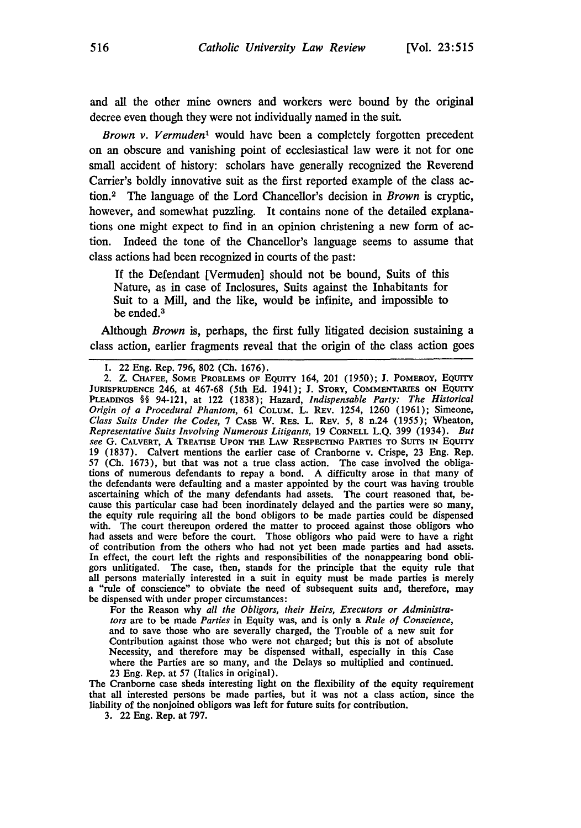and all the other mine owners and workers were bound **by** the original decree even though they were not individually named in the suit.

*Brown v. Vermuden1* would have been a completely forgotten precedent on an obscure and vanishing point of ecclesiastical law were it not for one small accident of history: scholars have generally recognized the Reverend Carrier's boldly innovative suit as the first reported example of the class action.2 **The** language of the Lord Chancellor's decision in *Brown* is cryptic, however, and somewhat puzzling. It contains none of the detailed explanations one might expect to find in an opinion christening a new form of action. Indeed the tone of the Chancellor's language seems to assume that class actions had been recognized in courts of the past:

**If** the Defendant [Vermuden] should not be bound, Suits of this Nature, as in case of Inclosures, Suits against the Inhabitants for Suit to a Mill, and the like, would be infinite, and impossible to be ended.<sup>3</sup>

Although *Brown* is, perhaps, the first fully litigated decision sustaining a class action, earlier fragments reveal that the origin of the class action goes

For the Reason why *all the Obligors, their Heirs, Executors or Administrators* are to be made *Parties* in Equity was, and is only a *Rule of Conscience,* and to save those who are severally charged, the Trouble of a new suit for Contribution against those who were not charged; but this is not of absolute Necessity, and therefore may be dispensed withall, especially in this Case where the Parties are so many, and the Delays so multiplied and continued. **23** Eng. Rep. at **57** (Italics in original).

The Cranborne case sheds interesting light on the flexibility of the equity requirement that all interested persons be made parties, but it was not a class action, since the liability of the nonjoined obligors was left for future suits for **contribution.**

**3.** 22 Eng. Rep. at **797.**

**<sup>1.</sup>** 22 Eng. Rep. 796, **802** (Ch. 1676).

<sup>2.</sup> Z. **CHAFEE, SOME PROBLEMS OF** EQuITY 164, 201 (1950); **J.** POMEROY, EQUITY JURISPRUDENCE 246, at 467-68 (5th Ed. 1941); J. STORY, COMMENTARIES ON EQUITY **PLEADINGS** *§§* 94-121, at 122 (1838); Hazard, *Indispensable Party: The Historical Origin of a Procedural Phantom,* 61 **COLUM.** L. REV. 1254, 1260 (1961); Simeone, *Class Suits Under the Codes, 7 CASE W. RES. L. REV. 5, 8 n.24 (1955); Wheaton, Representative Suits Involving Numerous Litigants,* 19 **CORNELL** L.Q. 399 (1934). *But see* **G. CALVERT, A TREATISE UPON THE LAW RESPECTING PARTIES TO SUITS IN EQUITY 19 (1837).** Calvert mentions the earlier case of Cranborne v. Crispe, **23** Eng. Rep. **57 (Ch. 1673),** but that was not a true class action. The case involved the obliga**tions** of numerous defendants to repay a bond. **A** difficulty arose in that many of the defendants were defaulting and a master appointed **by** the court was having trouble ascertaining which of the many defendants had assets. The court reasoned that, be- cause this particular case had been inordinately delayed and the parties were so many, the equity rule requiring all the bond obligors to be made parties could be dispensed with. The court thereupon ordered the matter to proceed against those obligors who had assets and were before the court. Those obligors who paid were to have a right of contribution from the others who had not yet been made parties and had assets. In effect, the court left the rights and responsibilities of the nonappearing bond obligors unlitigated. The case, then, stands for the principle that the equity rule that all persons materially interested in a suit in equity must be made parties is merely a "rule of conscience" to obviate the need of subsequent suits and, therefore, may be dispensed with under proper circumstances: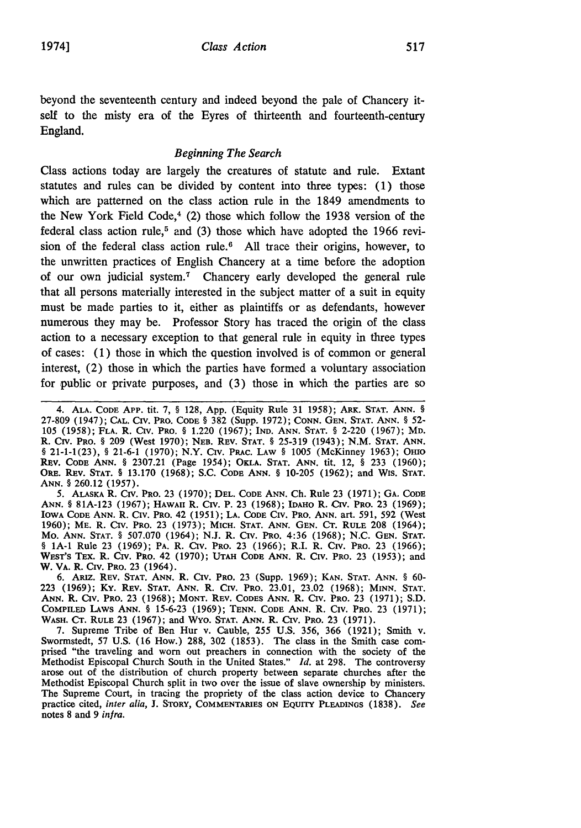beyond the seventeenth century and indeed beyond the pale of Chancery itself to the misty era of the Eyres of thirteenth and fourteenth-century England.

## *Beginning The Search*

Class actions today are largely the creatures of statute and rule. Extant statutes and rules can be divided by content into three types: (1) those which are patterned on the class action rule in the 1849 amendments to the New York Field Code, $4$  (2) those which follow the 1938 version of the federal class action rule,<sup>5</sup> and (3) those which have adopted the 1966 revision of the federal class action rule.<sup>6</sup> All trace their origins, however, to the unwritten practices of English Chancery at a time before the adoption of our own judicial system.<sup>7</sup> Chancery early developed the general rule that all persons materially interested in the subject matter of a suit in equity must be made parties to it, either as plaintiffs or as defendants, however numerous they may be. Professor Story has traced the origin of the class action to a necessary exception to that general rule in equity in three types of cases: (1) those in which the question involved is of common or general interest, (2) those in which the parties have formed a voluntary association for public or private purposes, and (3) those in which the parties are so

5. ALASKA R. CIrV. PRO. **23** (1970); **DEL. CODE** ANN. Ch. Rule **23** (1971); GA. CODE ANN. § **81A-123** (1967); HAWAII R. Crv. P. **23** (1968); **IDAHO** R. **CIrv.** PRO. **23** (1969); IOWA **CODE** ANN. R. Civ. **PRO.** 42 (1951); **LA. CODE** Civ. PRO. ANN. art. 591, **592** (West 1960); ME. R. Civ. PRO. **23** (1973); MICH. **STAT.** ANN. GEN. **C.** RULE **208** (1964); Mo. ANN. **STAT.** § 507.070 (1964); N.J. R. Civ. PRo. 4:36 (1968); N.C. GEN. **STAT.** § **1A-1** Rule **23** (1969); PA. R. Civ. PRO. **23** (1966); R.I. R. **CIV.** PRO. **23** (1966); WEST'S TEX. R. Civ. PRO. 42 **(1970); UTAH CODE ANN.** R. Civ. PRO. 23 (1953); and W. **VA.** R. CIv. PRO. **23** (1964).

**6.** ARiz. REV. **STAT. ANN.** R. **Civ.** PRO. **23** (Supp. **1969);** KAN. **STAT. ANN.** § **60- 223 (1969); Ky.** REV. **STAT. ANN.** R. CIv. PRO. **23.01, 23.02 (1968);** MINN. **STAT.** ANN. **R. Civ.** PRO. **23 (1968); MONT.** REV. CODES **ANN.** R. Civ. PRO. **23 (1971); S.D.** COMPILED LAWS ANN. § **15-6-23 (1969); TENN. CODE** ANN. R. Civ. PRO. **23 (1971);** WASH. **CT.** RULE **23 (1967);** and Wyo. **STAT. ANN.** R. Civ. PRO. **23 (1971).**

**7.** Supreme Tribe of Ben Hur v. Cauble, **255 U.S. 356, 366 (1921);** Smith v. Swormstedt, **57 U.S. (16** How.) **288, 302 (1853).** The class in the Smith case comprised "the traveling and worn out preachers in connection with the society of the Methodist Episcopal Church South in the United States." *Id.* at **298.** The controversy arose out of the distribution of church property between separate churches after the Methodist Episcopal Church split in two over the issue of slave ownership **by** ministers. The Supreme Court, in tracing the propriety of the class action device to Chancery practice cited, *inter alia,* **J.** STORY, **COMMENTARIES** ON **EQUITY PLEADINGS (1838).** *See* **notes 8** and **9** *infra.*

<sup>4.</sup> **ALA.** CODE APP. tit. **7,** § 128, App. (Equity Rule 31 1958); ARK. **STAT.** ANN. § **27-809** (1947); **CAL. CIV. PRO. CODE** § **382** (Supp. 1972); CONN. GEN. **STAT. ANN.** § **52- 105** (1958); **FLA.** R. **Civ.** PRo. § 1.220 (1967); **IND.** ANN. **STAT.** § 2-220 (1967); MD. R. Civ. PRO. § 209 (West 1970); **NEB. REV. STAT.** § 25-319 (1943); N.M. **STAT.** ANN. § **21-1-1(23),** § **21-6-1** (1970); N.Y. **Civ. PRAc. LAW** § 1005 (McKinney 1963); OHIo REv. **CODE** ANN. § **2307.21** (Page 1954); OKLA. **STAT.** ANN. tit. 12, § **233** (1960); ORE. Rrv. **STAT.** § **13.170** (1968); S.C. **CODE** ANN. § **10-205** (1962); and Wis. **STAT.** ANN. § 260.12 (1957).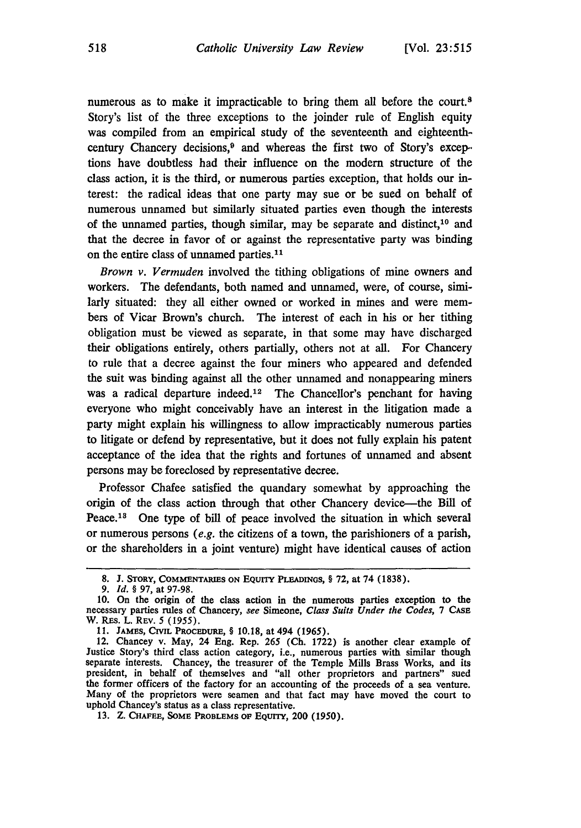numerous as to make it impracticable to bring them all before the court.<sup>8</sup> Story's list of the three exceptions to the joinder rule of English equity was compiled from an empirical study of the seventeenth and eighteenthcentury Chancery decisions,<sup>9</sup> and whereas the first two of Story's excep-tions have doubtless had their influence on the modern structure of the class action, it is the third, or numerous parties exception, that holds our interest: the radical ideas that one party may sue or be sued on behalf of numerous unnamed but similarly situated parties even though the interests of the unnamed parties, though similar, may be separate and distinct,<sup>10</sup> and that the decree in favor of or against the representative party was binding on the entire class of unnamed parties.<sup>11</sup>

*Brown v. Vermuden* involved the tithing obligations of mine owners and workers. The defendants, both named and unnamed, were, of course, similarly situated: they all either owned or worked in mines and were members of Vicar Brown's church. The interest of each in his or her tithing obligation must be viewed as separate, in that some may have discharged their obligations entirely, others partially, others not at all. For Chancery to rule that a decree against the four miners who appeared and defended the suit was binding against all the other unnamed and nonappearing miners was a radical departure indeed.<sup>12</sup> The Chancellor's penchant for having everyone who might conceivably have an interest in the litigation made a party might explain his willingness to allow impracticably numerous parties to litigate or defend by representative, but it does not fully explain his patent acceptance of the idea that the rights and fortunes of unnamed and absent persons may be foreclosed by representative decree.

Professor Chafee satisfied the quandary somewhat by approaching the origin of the class action through that other Chancery device-the Bill of Peace.<sup>18</sup> One type of bill of peace involved the situation in which several or numerous persons *(e.g.* the citizens of a town, the parishioners of a parish, or the shareholders in a joint venture) might have identical causes of action

**<sup>8.</sup> J.** STORY, **COMMENTARIES ON** EQUITY PLEADINGS, § **72,** at 74 **(1838).**

*<sup>9.</sup> Id. § 97,* at **97-98.**

**<sup>10.</sup>** On the origin of the class action in the numerous parties exception to the necessary parties rules of Chancery, *see* Simeone, *Class Suits Under the Codes, 7* CASE W. REs. L. REv. *5 (1955).*

<sup>11.</sup> JAMES, CIVIL PROCEDURE, § 10.18, at 494 (1965).

<sup>12.</sup> Chancey v. May, 24 Eng. Rep. 265 **(Ch.** 1722) is another clear example of Justice Story's third class action category, i.e., numerous parties with similar though separate interests. Chancey, the treasurer of the Temple Mills Brass Works, and its president, in behalf of themselves and "all other proprietors and partners" sued the former officers of the factory for an accounting of the proceeds of a sea venture. Many of the proprietors were seamen and that fact may have moved the court to uphold Chancey's status as a class representative.

<sup>13.</sup> Z. **CHAFEE, SOME PROBLEMS OF** EqUTY, 200 (1950).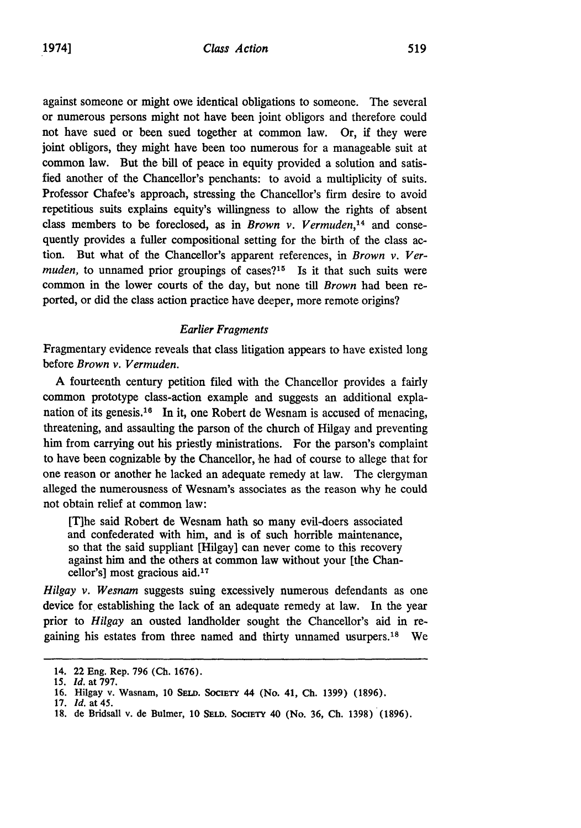against someone or might owe identical obligations to someone. The several or numerous persons might not have been joint obligors and therefore could not have sued or been sued together at common law. Or, if they were joint obligors, they might have been too numerous for a manageable suit at common law. But the bill of peace in equity provided a solution and satisfied another of the Chancellor's penchants: to avoid a multiplicity of suits. Professor Chafee's approach, stressing the Chancellor's firm desire to avoid repetitious suits explains equity's willingness to allow the rights of absent class members to be foreclosed, as in *Brown v. Vermuden,'14* and consequently provides a fuller compositional setting for the birth of the class action. But what of the Chancellor's apparent references, in *Brown v. Vermuden,* to unnamed prior groupings of cases?<sup>15</sup> Is it that such suits were common in the lower courts of the day, but none till *Brown* had been reported, or did the class action practice have deeper, more remote origins?

#### *Earlier Fragments*

Fragmentary evidence reveals that class litigation appears to have existed long before *Brown v. Vermuden.*

A fourteenth century petition filed with the Chancellor provides a fairly common prototype class-action example and suggests an additional explanation of its genesis.<sup>16</sup> In it, one Robert de Wesnam is accused of menacing, threatening, and assaulting the parson of the church of Hilgay and preventing him from carrying out his priestly ministrations. For the parson's complaint to have been cognizable by the Chancellor, he had of course to allege that for one reason or another he lacked an adequate remedy at law. The clergyman alleged the numerousness of Wesnam's associates as the reason why he could not obtain relief at common law:

[T]he said Robert de Wesnam hath so many evil-doers associated and confederated with him, and is of such horrible maintenance, so that the said suppliant [Hilgay] can never come to this recovery against him and the others at common law without your [the Chancellor's] most gracious aid.<sup>17</sup>

*Hilgay v. Wesnam* suggests suing excessively numerous defendants as one device for establishing the lack of an adequate remedy at law. In the year prior to *Hilgay* an ousted landholder sought the Chancellor's aid in regaining his estates from three named and thirty unnamed usurpers.<sup>18</sup> We

**<sup>14. 22</sup> Eng. Rep. 796 (Ch. 1676).**

*<sup>15.</sup> Id.* **at 797.**

**<sup>16.</sup> Hilgay v. Wasnam, 10 SELo. SOCIETY 44 (No. 41, Ch. 1399) (1896).**

**<sup>17.</sup>** *Id.* **at 45.**

**<sup>18.</sup> de Bridsall v. de Bulmer, 10 SELD. SoCIETY 40 (No. 36, Ch. 1398) (1896).**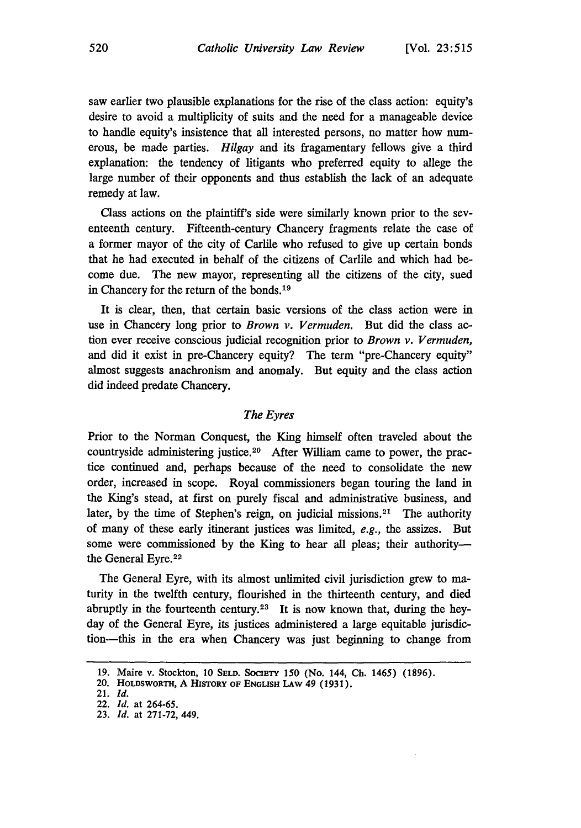saw earlier two plausible explanations for the rise of the class action: equity's desire to avoid a multiplicity of suits and the need for a manageable device to handle equity's insistence that all interested persons, no matter how numerous, be made parties. *Hilgay* and its fragamentary fellows give a third explanation: the tendency of litigants who preferred equity to allege the large number of their opponents and thus establish the lack of an adequate remedy at law.

Class actions on the plaintiff's side were similarly known prior to the seventeenth century. Fifteenth-century Chancery fragments relate the case of a former mayor of the city of Carlile who refused to give up certain bonds that he had executed in behalf of the citizens of Carlile and which had become due. The new mayor, representing all the citizens of the city, sued in Chancery for the return of the bonds. <sup>19</sup>

It is clear, then, that certain basic versions of the class action were in use in Chancery long prior to *Brown v. Vermuden.* But did the class action ever receive conscious judicial recognition prior to *Brown v. Vermuden,* and did it exist in pre-Chancery equity? The term "pre-Chancery equity" almost suggests anachronism and anomaly. But equity and the class action did indeed predate Chancery.

### *The Eyres*

Prior to the Norman Conquest, the King himself often traveled about the countryside administering justice.<sup>20</sup> After William came to power, the practice continued and, perhaps because of the need to consolidate the new order, increased in scope. Royal commissioners began touring the land in the King's stead, at first on purely fiscal and administrative business, and later, by the time of Stephen's reign, on judicial missions.<sup>21</sup> The authority of many of these early itinerant justices was limited, *e.g.,* the assizes. But some were commissioned by the King to hear all pleas; their authoritythe General Eyre.<sup>22</sup>

The General Eyre, with its almost unlimited civil jurisdiction grew to maturity in the twelfth century, flourished in the thirteenth century, and died abruptly in the fourteenth century.23 It is now known that, during the heyday of the General Eyre, its justices administered a large equitable jurisdiction-this in the era when Chancery was just beginning to change from

**<sup>19.</sup>** Maire v. Stockton, **10** SELD. **SOCIE'rY 150** (No. 144, **Ch.** 1465) **(1896).**

**<sup>20.</sup> HOLDSWORTH, A** HISToRY **OF ENGLISH LAW** 49 **(1931).**

**<sup>21.</sup>** *Id.*

<sup>22.</sup> *Id.* at **264-65.**

<sup>23.</sup> *Id.* at **271-72,** 449.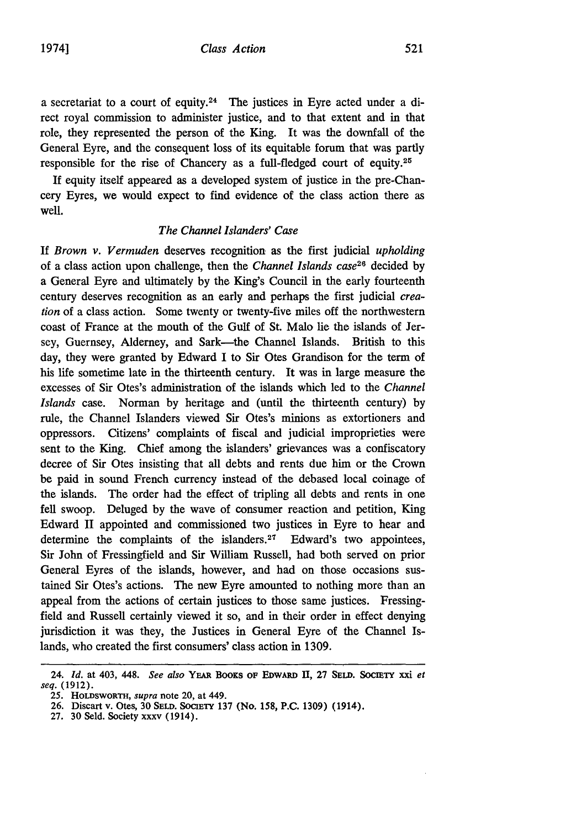a secretariat to a court of equity.24 The justices in Eyre acted under a direct royal commission to administer justice, and to that extent and in that role, they represented the person of the King. It was the downfall of the General Eyre, and the consequent loss of its equitable forum that was partly responsible for the rise of Chancery as a full-fledged court of equity.<sup>25</sup>

If equity itself appeared as a developed system of justice in the pre-Chancery Eyres, we would expect to find evidence of the class action there as well.

### *The Channel Islanders' Case*

**If** *Brown v. Vermuden* deserves recognition as the first judicial *upholding* of a class action upon challenge, then the *Channel Islands case2 <sup>6</sup>*decided by a General Eyre and ultimately by the King's Council in the early fourteenth century deserves recognition as an early and perhaps the first judicial *creation* of a class action. Some twenty or twenty-five miles off the northwestern coast of France at the mouth of the Gulf of St. Malo lie the islands of Jersey, Guernsey, Alderney, and Sark—the Channel Islands. British to this day, they were granted by Edward I to Sir Otes Grandison for the term of his life sometime late in the thirteenth century. It was in large measure the excesses of Sir Otes's administration of the islands which led to the *Channel Islands* case. Norman by heritage and (until the thirteenth century) by rule, the Channel Islanders viewed Sir Otes's minions as extortioners and oppressors. Citizens' complaints of fiscal and judicial improprieties were sent to the King. Chief among the islanders' grievances was a confiscatory decree of Sir Otes insisting that all debts and rents due him or the Crown be paid in sound French currency instead of the debased local coinage of the islands. The order had the effect of tripling all debts and rents in one fell swoop. Deluged by the wave of consumer reaction and petition, King Edward II appointed and commissioned two justices in Eyre to hear and determine the complaints of the islanders.<sup>27</sup> Edward's two appointees, Sir John of Fressingfield and Sir William Russell, had both served on prior General Eyres of the islands, however, and had on those occasions sustained Sir Otes's actions. The new Eyre amounted to nothing more than an appeal from the actions of certain justices to those same justices. Fressingfield and Russell certainly viewed it so, and in their order in effect denying jurisdiction it was they, the Justices in General Eyre of the Channel Islands, who created the first consumers' class action in 1309.

<sup>24.</sup> *Id.* at 403, 448. *See also* YEAR BOOKS OF EDwARD **II, 27 SELD.** SOCIETY xxi *et seq.* (1912).

<sup>25.</sup> HOLDSWORTH, *supra* note 20, at 449.

**<sup>26.</sup>** Discart v. Otes, 30 **SELD.** SOCIETY 137 (No. **158, P.C. 1309)** (1914).

**<sup>27. 30</sup>** Seld. Society xxxv (1914).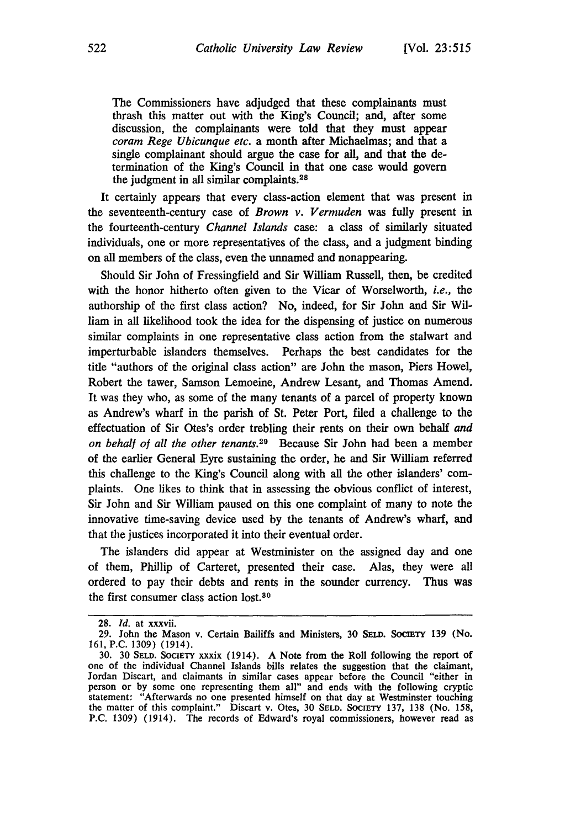The Commissioners have adjudged that these complainants must thrash this matter out with the King's Council; and, after some discussion, the complainants were told that they must appear *coram Rege Ubicunque etc.* a month after Michaelmas; and that a single complainant should argue the case for all, and that the determination of the King's Council in that one case would govern the judgment in all similar complaints.<sup>28</sup>

It certainly appears that every class-action element that was present in the seventeenth-century case of *Brown v. Vermuden* was fully present in the fourteenth-century *Channel Islands* case: a class of similarly situated individuals, one or more representatives of the class, and a judgment binding on all members of the class, even the unnamed and nonappearing.

Should Sir John of Fressingfield and Sir William Russell, then, be credited with the honor hitherto often given to the Vicar of Worselworth, *i.e.,* the authorship of the first class action? No, indeed, for Sir John and Sir William in all likelihood took the idea for the dispensing of justice on numerous similar complaints in one representative class action from the stalwart and imperturbable islanders themselves. Perhaps the best candidates for the title "authors of the original class action" are John the mason, Piers Howel, Robert the tawer, Samson Lemoeine, Andrew Lesant, and Thomas Amend. It was they who, as some of the many tenants of a parcel of property known as Andrew's wharf in the parish of St. Peter Port, filed a challenge to the effectuation of Sir Otes's order trebling their rents on their own behalf *and on behalf of all the other tenants.29* Because Sir John had been a member of the earlier General Eyre sustaining the order, he and Sir William referred this challenge to the King's Council along with all the other islanders' complaints. One likes to think that in assessing the obvious conflict of interest, Sir John and Sir William paused on this one complaint of many to note the innovative time-saving device used by the tenants of Andrew's wharf, and that the justices incorporated it into their eventual order.

The islanders did appear at Westminister on the assigned day and one of them, Phillip of Carteret, presented their case. Alas, they were all ordered to pay their debts and rents in the sounder currency. Thus was the first consumer class action  $lost.^{80}$ 

<sup>28.</sup> *id.* at xxxvii.

<sup>29.</sup> John the Mason v. Certain Bailiffs and Ministers, 30 **SELD.** SOcIETY 139 (No. 161, P.C. 1309) (1914).

<sup>30. 30</sup> **SELD. SOCIETY** xxxix (1914). A Note from the Roll following the report of one of the individual Channel Islands bills relates the suggestion that the claimant, Jordan Discart, and claimants in similar cases appear before the Council "either in person or by some one representing them all" and ends with the following cryptic statement: "Afterwards no one presented himself on that day at Westminster touching the matter of this complaint." Discart v. Otes, 30 **SELD.** SOCIETY 137, 138 (No. 158, P.C. 1309) (1914). The records of Edward's royal commissioners, however read as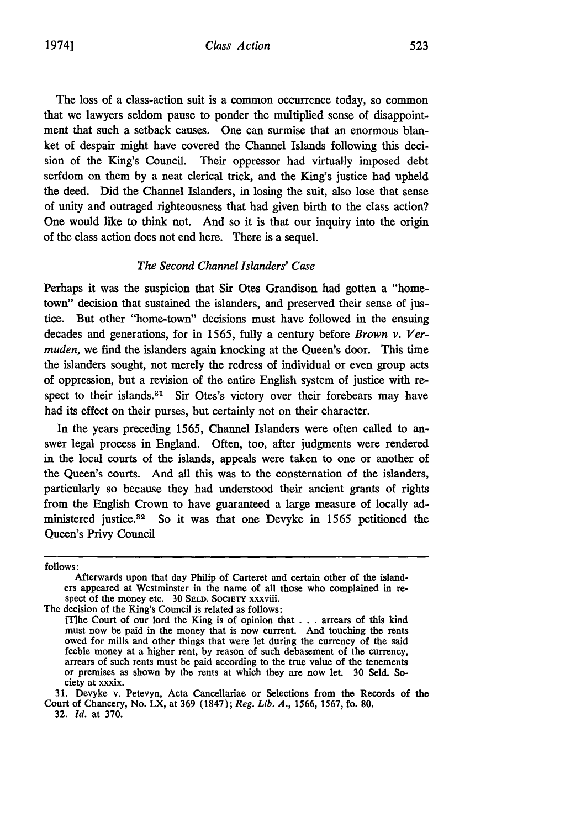The loss of a class-action suit is a common occurrence today, so common that we lawyers seldom pause to ponder the multiplied sense of disappointment that such a setback causes. One can surmise that an enormous blanket of despair might have covered the Channel Islands following this decision of the King's Council. Their oppressor had virtually imposed debt serfdom on them by a neat clerical trick, and the King's justice had upheld the deed. Did the Channel Islanders, in losing the suit, also lose that sense of unity and outraged righteousness that had given birth to the class action? One would like to think not. And so it is that our inquiry into the origin of the class action does not end here. There is a sequel.

#### *The Second Channel Islanders' Case*

Perhaps it was the suspicion that Sir Otes Grandison had gotten a "hometown" decision that sustained the islanders, and preserved their sense of justice. But other "home-town" decisions must have followed in the ensuing decades and generations, for in 1565, fully a century before *Brown v. Vermuden,* we find the islanders again knocking at the Queen's door. This time the islanders sought, not merely the redress of individual or even group acts of oppression, but a revision of the entire English system of justice with respect to their islands. $31$  Sir Otes's victory over their forebears may have had its effect on their purses, but certainly not on their character.

In the years preceding 1565, Channel Islanders were often called to answer legal process in England. Often, too, after judgments were rendered in the local courts of the islands, appeals were taken to one or another of the Queen's courts. And all this was to the consternation of the islanders, particularly so because they had understood their ancient grants of rights from the English Crown to have guaranteed a large measure of locally administered justice.<sup>32</sup> So it was that one Devyke in 1565 petitioned the Queen's Privy Council

The decision of the King's Council is related as follows:

[Ihe Court of our lord the King is of opinion that . . . arrears of this kind must now be paid in the money that is now current. And touching the rents owed for mills and other things that were let during the currency of the said feeble money at a higher rent, by reason of such debasement of the currency, arrears of such rents must be paid according to the true value of the tenements or premises as shown by the rents at which they are now let. 30 S ciety at xxxix.

**31.** Devyke v. Petevyn, Acta Cancellariae or Selections from the Records of the Court of Chancery, No. LX, at 369 (1847); *Reg. Lib. A.,* 1566, 1567, fo. **80,**

32. *Id.* at 370,

follows:

Afterwards upon that day Philip of Carteret and certain other of the islanders appeared at Westminster in the name of all those who complained in re- spect of the money etc. 30 **SELD. SOCIETY** xxxviii.